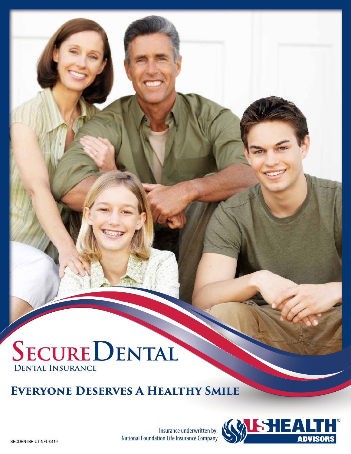# **SecureDental Dental Insurance**

# **Everyone Deserves A Healthy Smile**

Insurance underwritten by: National Foundation Life Insurance Company

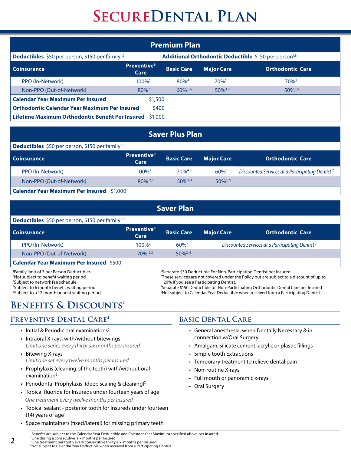| <b>Premium Plan</b>                                           |                                                                   |                   |                     |                         |  |  |  |  |
|---------------------------------------------------------------|-------------------------------------------------------------------|-------------------|---------------------|-------------------------|--|--|--|--|
| Deductibles \$50 per person, \$150 per family <sup>1,6</sup>  | Additional Orthodontic Deductible \$150 per person <sup>1,8</sup> |                   |                     |                         |  |  |  |  |
| <b>Coinsurance</b>                                            | <b>Preventive</b> <sup>9</sup><br>Care                            | <b>Basic Care</b> | <b>Major Care</b>   | <b>Orthodontic Care</b> |  |  |  |  |
| PPO (In-Network)                                              | $100\%^2$                                                         | $80%^{4}$         | $70\%$ <sup>5</sup> | 70%                     |  |  |  |  |
| Non-PPO (Out-of-Network)                                      | $80\%^{2,3}$                                                      | $60\%^{3,4}$      | $50\%^{3,5}$        | $50\%^{3,5}$            |  |  |  |  |
| <b>Calendar Year Maximum Per Insured</b>                      | \$1,500                                                           |                   |                     |                         |  |  |  |  |
| <b>Orthodontic Calendar Year Maximum Per Insured</b><br>\$400 |                                                                   |                   |                     |                         |  |  |  |  |
| Lifetime Maximum Orthodontic Benefit Per Insured \$1,000      |                                                                   |                   |                     |                         |  |  |  |  |

#### **Saver Plus Plan**

| <b>Deductibles</b> \$50 per person, \$150 per family <sup>1,6</sup> |                                        |                   |                     |                                                             |  |  |  |
|---------------------------------------------------------------------|----------------------------------------|-------------------|---------------------|-------------------------------------------------------------|--|--|--|
| <b>Coinsurance</b>                                                  | <b>Preventive</b> <sup>9</sup><br>Care | <b>Basic Care</b> | <b>Major Care</b>   | <b>Orthodontic Care</b>                                     |  |  |  |
| PPO (In-Network)                                                    | $100\%^2$                              | $70%^{4}$         | $60\%$ <sup>5</sup> | Discounted Services at a Participating Dentist <sup>7</sup> |  |  |  |
| Non-PPO (Out-of-Network)                                            | $80\%$ <sup>2,3</sup>                  | $50\%^{3,4}$      | $50\%^{3,5}$        |                                                             |  |  |  |
| <b>Calendar Year Maximum Per Insured</b> \$1,000                    |                                        |                   |                     |                                                             |  |  |  |

| <b>Saver Plan</b>                                                   |                                                                                 |                     |                                                             |                         |  |  |  |  |
|---------------------------------------------------------------------|---------------------------------------------------------------------------------|---------------------|-------------------------------------------------------------|-------------------------|--|--|--|--|
| <b>Deductibles</b> \$50 per person, \$150 per family <sup>1,6</sup> |                                                                                 |                     |                                                             |                         |  |  |  |  |
| <b>Coinsurance</b>                                                  | <b>Preventive</b> <sup>9</sup><br>Care                                          | <b>Basic Care</b>   | <b>Major Care</b>                                           | <b>Orthodontic Care</b> |  |  |  |  |
| PPO (In-Network)                                                    | $100\%^2$                                                                       | $60\%$ <sup>4</sup> | Discounted Services at a Participating Dentist <sup>7</sup> |                         |  |  |  |  |
| Non-PPO (Out-of-Network)                                            | $70\%$ <sup>2,3</sup>                                                           | $50\%^{3,4}$        |                                                             |                         |  |  |  |  |
| <b>Calendar Year Maximum Per Insured \$500</b>                      |                                                                                 |                     |                                                             |                         |  |  |  |  |
| <sup>1</sup> Family limit of 3 per Person Deductibles               | <sup>6</sup> Separate \$50 Deductible For Non-Participating Dentist per Insured |                     |                                                             |                         |  |  |  |  |

 $2^2$ Not subject to benefit waiting period  $2^7$ <sup>3</sup>Subject to network fee schedule 4 Subject to 6 month benefit waiting period <sup>8</sup> <sup>5</sup>Subject to a 12 month benefit waiting period states are set on the state of  $9$ 

These services are not covered under the Policy but are subject to a discount of up to 20% if you see a Participating Dentist.

Separate \$150 Deductible for Non-Participating Orthodontic Dental Care per Insured Not subject to Calendar Year Deductible when received from a Participating Dentist

# **Benefits & Discounts1**

# **Preventive Dental Care4**

- $\cdot$  Initial & Periodic oral examinations<sup>2</sup>
- Intraoral X-rays, with/without bitewings *Limit one series every thirty-six months per Insured*
- Bitewing X-rays *Limit one set every twelve months per Insured*
- Prophylaxis (cleaning of the teeth) with/without oral examination<sup>2</sup>
- Periodontal Prophylaxis (deep scaling & cleaning)<sup>2</sup>
- Topical fluoride for Insureds under fourteen years of age *One treatment every twelve months per Insured*
- Topical sealant posterior tooth for Insureds under fourteen (14) years of age $3$
- Space maintainers (fixed/lateral) for missing primary teeth

# **Basic Dental Care**

- General anesthesia, when Dentally Necessary & in connection w/Oral Surgery
- Amalgam, silicate cement, acrylic or plastic fillings
- Simple tooth Extractions
- Temporary treatment to relieve dental pain
- Non-routine X-rays
- Full mouth or panoramic x-rays
- Oral Surgery

1 Benefits are subject to the Calendar Year Deductible and Calendar Year Maximum specified above per Insured 2 One during a consecutive six months per Insured 3 One treatment per tooth every consecutive thirty-six months per Insured

4 Not subject to Calendar Year Deductible when received from a Participating Dentist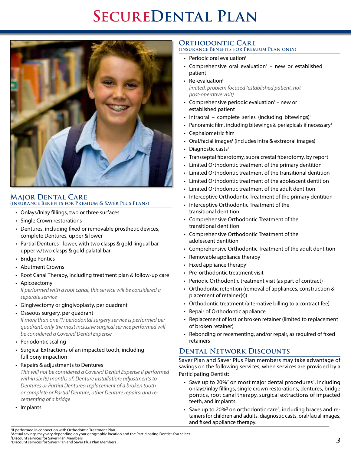

#### **Major Dental Care (insurance Benefits for Premium & Saver Plus Plans)**

- Onlays/Inlay fillings, two or three surfaces
- Single Crown restorations
- Dentures, including fixed or removable prosthetic devices, complete Dentures, upper & lower
- Partial Dentures lower, with two clasps & gold lingual bar upper w/two clasps & gold palatal bar
- Bridge Pontics
- Abutment Crowns
- Root Canal Therapy, including treatment plan & follow-up care
- Apicoectomy *If performed with a root canal, this service will be considered a separate service*
- Gingivectomy or gingivoplasty, per quadrant
- Osseous surgery, per quadrant

*If more than one (1) periodontal surgery service is performed per quadrant, only the most inclusive surgical service performed will be considered a Covered Dental Expense*

- Periodontic scaling
- Surgical Extractions of an impacted tooth, including full bony impaction
- Repairs & adjustments to Dentures

*This will not be considered a Covered Dental Expense if performed within six (6) months of: Denture installation; adjustments to Dentures or Partial Dentures; replacement of a broken tooth or complete or Partial Denture; other Denture repairs; and recementing of a bridge*

• Implants

#### **Orthodontic Care (insurance Benefits for Premium Plan only)**

- Periodic oral evaluation<sup>1</sup>
- Comprehensive oral evaluation $1 -$  new or established patient
- $\cdot$  Re-evaluation<sup>1</sup> *limited, problem focused (established patient, not post-operative visit)*
- Comprehensive periodic evaluation<sup>1</sup> new or established patient
- Intraoral complete series (including bitewings)<sup>1</sup>
- Panoramic film, including bitewings & periapicals if necessary<sup>1</sup>
- Cephalometric film
- Oral/facial images<sup>1</sup> (includes intra & extraoral images)
- Diagnostic casts $<sup>1</sup>$ </sup>
- Transseptal fiberotomy, supra crestal fiberotomy, by report
- Limited Orthodontic treatment of the primary dentition
- Limited Orthodontic treatment of the transitional dentition
- Limited Orthodontic treatment of the adolescent dentition
- Limited Orthodontic treatment of the adult dentition
- Interceptive Orthodontic Treatment of the primary dentition
- Interceptive Orthodontic Treatment of the transitional dentition
- Comprehensive Orthodontic Treatment of the transitional dentition
- Comprehensive Orthodontic Treatment of the adolescent dentition
- Comprehensive Orthodontic Treatment of the adult dentition
- Removable appliance therapy<sup>1</sup>
- Fixed appliance therapy<sup>1</sup>
- Pre-orthodontic treatment visit
- Periodic Orthodontic treatment visit (as part of contract)
- Orthodontic retention (removal of appliances, construction & placement of retainer(s))
- Orthodontic treatment (alternative billing to a contract fee)
- Repair of Orthodontic appliance
- Replacement of lost or broken retainer (limited to replacement of broken retainer)
- Rebonding or recementing, and/or repair, as required of fixed retainers

### **Dental Network Discounts**

Saver Plan and Saver Plus Plan members may take advantage of savings on the following services, when services are provided by a Participating Dentist:

- Save up to 20%<sup>2</sup> on most major dental procedures<sup>3</sup>, including onlays/inlay fillings, single crown restorations, dentures, bridge pontics, root canal therapy, surgical extractions of impacted teeth, and implants.
- Save up to 20%<sup>2</sup> on orthodontic care<sup>4</sup>, including braces and retainers for children and adults, diagnostic casts, oral/facial images, and fixed appliance therapy.

4 Discount services for Saver Plan and Saver Plus Plan Members

<sup>1</sup> If performed in connection with Orthodontic Treatment Plan

<sup>2</sup> Actual savings may vary depending on your geographic location and the Participating Dentist You select 3 Discount services for Saver Plan Members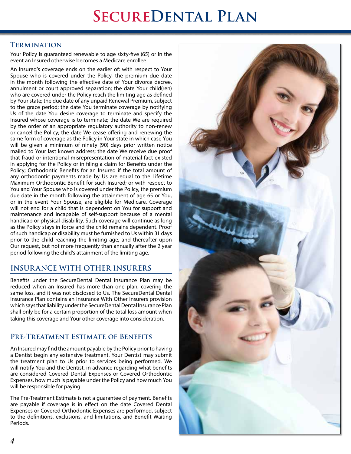### **Termination**

Your Policy is guaranteed renewable to age sixty-five (65) or in the event an Insured otherwise becomes a Medicare enrollee.

An Insured's coverage ends on the earlier of: with respect to Your Spouse who is covered under the Policy, the premium due date in the month following the effective date of Your divorce decree, annulment or court approved separation; the date Your child(ren) who are covered under the Policy reach the limiting age as defined by Your state; the due date of any unpaid Renewal Premium, subject to the grace period; the date You terminate coverage by notifying Us of the date You desire coverage to terminate and specify the Insured whose coverage is to terminate; the date We are required by the order of an appropriate regulatory authority to non-renew or cancel the Policy; the date We cease offering and renewing the same form of coverage as the Policy in Your state in which case You will be given a minimum of ninety (90) days prior written notice mailed to Your last known address; the date We receive due proof that fraud or intentional misrepresentation of material fact existed in applying for the Policy or in filing a claim for Benefits under the Policy; Orthodontic Benefits for an Insured if the total amount of any orthodontic payments made by Us are equal to the Lifetime Maximum Orthodontic Benefit for such Insured; or with respect to You and Your Spouse who is covered under the Policy, the premium due date in the month following the attainment of age 65 or You, or in the event Your Spouse, are eligible for Medicare. Coverage will not end for a child that is dependent on You for support and maintenance and incapable of self-support because of a mental handicap or physical disability. Such coverage will continue as long as the Policy stays in force and the child remains dependent. Proof of such handicap or disability must be furnished to Us within 31 days prior to the child reaching the limiting age, and thereafter upon Our request, but not more frequently than annually after the 2 year period following the child's attainment of the limiting age.

# **INSURANCE WITH OTHER INSURERS**

Benefits under the SecureDental Dental Insurance Plan may be reduced when an Insured has more than one plan, covering the same loss, and it was not disclosed to Us. The SecureDental Dental Insurance Plan contains an Insurance With Other Insurers provision which says that liability under the SecureDental Dental Insurance Plan shall only be for a certain proportion of the total loss amount when taking this coverage and Your other coverage into consideration.

# **Pre-Treatment Estimate of Benefits**

An Insured may find the amount payable by the Policy prior to having a Dentist begin any extensive treatment. Your Dentist may submit the treatment plan to Us prior to services being performed. We will notify You and the Dentist, in advance regarding what benefits are considered Covered Dental Expenses or Covered Orthodontic Expenses, how much is payable under the Policy and how much You will be responsible for paying.

The Pre-Treatment Estimate is not a guarantee of payment. Benefits are payable if coverage is in effect on the date Covered Dental Expenses or Covered Orthodontic Expenses are performed, subject to the definitions, exclusions, and limitations, and Benefit Waiting Periods.

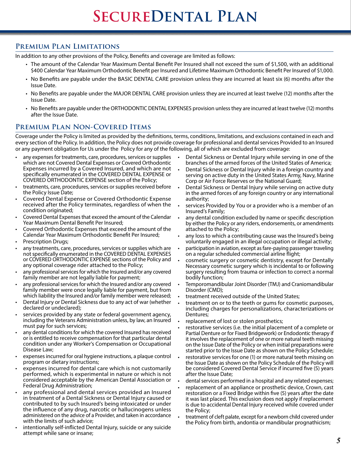### **Premium Plan Limitations**

In addition to any other provisions of the Policy, Benefits and coverage are limited as follows:

- The amount of the Calendar Year Maximum Dental Benefit Per Insured shall not exceed the sum of \$1,500, with an additional \$400 Calendar Year Maximum Orthodontic Benefit per Insured and Lifetime Maximum Orthodontic Benefit Per Insured of \$1,000.
- No Benefits are payable under the BASIC DENTAL CARE provision unless they are incurred at least six (6) months after the Issue Date.
- No Benefits are payable under the MAJOR DENTAL CARE provision unless they are incurred at least twelve (12) months after the Issue Date.
- No Benefits are payable under the ORTHODONTIC DENTAL EXPENSES provision unless they are incurred at least twelve (12) months after the Issue Date.

# **Premium Plan Non-Covered Items**

Coverage under the Policy is limited as provided by the definitions, terms, conditions, limitations, and exclusions contained in each and every section of the Policy. In addition, the Policy does not provide coverage for professional and dental services Provided to an Insured or any payment obligation for Us under the Policy for any of the following, all of which are excluded from coverage:

- any expenses for treatments, care, procedures, services or supplies which are not Covered Dental Expenses or Covered Orthodontic Expenses incurred by a Covered Insured, and which are not specifically enumerated in the COVERED DENTAL EXPENSE or COVERED ORTHODONTIC EXPENSE section of the Policy;
- treatments, care, procedures, services or supplies received before the Policy Issue Date;
- Covered Dental Expense or Covered Orthodontic Expense received after the Policy terminates, regardless of when the condition originated;
- Covered Dental Expenses that exceed the amount of the Calendar Year Maximum Dental Benefit Per Insured;
- Covered Orthodontic Expenses that exceed the amount of the Calendar Year Maximum Orthodontic Benefit Per Insured;
- Prescription Drugs;
- any treatments, care, procedures, services or supplies which are not specifically enumerated in the COVERED DENTAL EXPENSES or COVERED ORTHODONTIC EXPENSE sections of the Policy and any optional coverage rider attached to the Policy;
- any professional services for which the Insured and/or any covered family member are not legally liable for payment;
- any professional services for which the Insured and/or any covered family member were once legally liable for payment, but from which liability the Insured and/or family member were released;
- Dental Injury or Dental Sickness due to any act of war (whether declared or undeclared);
- services provided by any state or federal government agency, including the Veterans Administration unless, by law, an Insured must pay for such services;
- any dental conditions for which the covered Insured has received or is entitled to receive compensation for that particular dental condition under any Worker's Compensation or Occupational Disease Law;
- expenses incurred for oral hygiene instructions, a plaque control program or dietary instructions;
- expenses incurred for dental care which is not customarily performed, which is experimental in nature or which is not considered acceptable by the American Dental Association or Federal Drug Administration;
- any professional and dental services provided an Insured in treatment of a Dental Sickness or Dental Injury caused or contributed to by such Insured's being intoxicated or under the influence of any drug, narcotic or hallucinogens unless administered on the advice of a Provider, and taken in accordance with the limits of such advice;
- intentionally self-inflicted Dental Injury, suicide or any suicide attempt while sane or insane;
- Dental Sickness or Dental Injury while serving in one of the branches of the armed forces of the United States of America;
- Dental Sickness or Dental Injury while in a foreign country and serving on active duty in the United States Army, Navy, Marine Corp or Air Force Reserves or the National Guard;
- Dental Sickness or Dental Injury while serving on active duty in the armed forces of any foreign country or any international authority;
- services Provided by You or a provider who is a member of an Insured's Family;
- any dental condition excluded by name or specific description by either the Policy or any riders, endorsements, or amendments attached to the Policy;
- any loss to which a contributing cause was the Insured's being voluntarily engaged in an illegal occupation or illegal activity;
- participation in aviation, except as fare-paying passenger traveling on a regular scheduled commercial airline flight;
- cosmetic surgery or cosmetic dentistry, except for Dentally Necessary cosmetic surgery which is incidental to or following surgery resulting from trauma or infection to correct a normal bodily function;
- Temporomandibular Joint Disorder (TMJ) and Craniomandibular Disorder (CMD);
- treatment received outside of the United States;
- treatment on or to the teeth or gums for cosmetic purposes, including charges for personalizations, characterizations or Dentures;
- replacement of lost or stolen prosthetics;
- restorative services (i.e. the initial placement of a complete or Partial Denture or for Fixed Bridgework) or Endodontic therapy if it involves the replacement of one or more natural teeth missing on the Issue Date of the Policy or when initial preparations were started prior to the Issue Date as shown on the Policy Schedule;
- restorative services for one (1) or more natural teeth missing on the Issue Date as shown on the Policy Schedule of the Policy will be considered Covered Dental Service if incurred five (5) years after the Issue Date;
- dental services performed in a hospital and any related expenses;
- replacement of an appliance or prosthetic device, Crown, cast restoration or a Fixed Bridge within five (5) years after the date it was last placed. This exclusion does not apply if replacement is due to accidental Dental Injury received while covered under the Policy;
- treatment of cleft palate, except for a newborn child covered under the Policy from birth, andontia or mandibular prognathicism;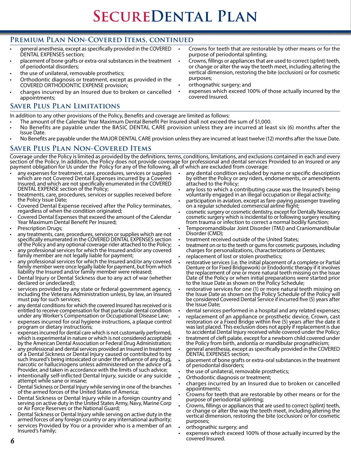### **Premium Plan Non-Covered Items, continued**

- general anesthesia, except as specifically provided in the COVERED DENTAL EXPENSES section;
- placement of bone grafts or extra-oral substances in the treatment of periodontal disorders;
- the use of unilateral, removable prosthetics;
- Orthodontic diagnosis or treatment, except as provided in the COVERED ORTHODONTIC EXPENSE provision;
- charges incurred by an Insured due to broken or cancelled appointments;

#### **Saver Plus Plan Limitations**

In addition to any other provisions of the Policy, Benefits and coverage are limited as follows:

- The amount of the Calendar Year Maximum Dental Benefit Per Insured shall not exceed the sum of \$1,000.
- No Benefits are payable under the BASIC DENTAL CARE provision unless they are incurred at least six (6) months after the Issue Date.
- No Benefits are payable under the MAJOR DENTAL CARE provision unless they are incurred at least twelve (12) months after the Issue Date.

#### **Saver Plus Plan Non-Covered Items**

Coverage under the Policy is limited as provided by the definitions, terms, conditions, limitations, and exclusions contained in each and every section of the Policy. In addition, the Policy does not provide coverage for professional and dental services Provided to an Insured or any payment obligation for Us under the Policy for any of the following, all of which are excluded from coverage:

- any expenses for treatment, care, procedures, services or supplies which are not Covered Dental Expenses incurred by a Covered Insured, and which are not specifically enumerated in the COVERED DENTAL EXPENSE section of the Policy;
- treatments, care, procedures, services or supplies received before the Policy Issue Date;
- Covered Dental Expense received after the Policy terminates, regardless of when the condition originated;
- Covered Dental Expenses that exceed the amount of the Calendar Year Maximum Dental Benefit Per Insured;
- Prescription Drugs;
- any treatments, care, procedures, services or supplies which are not specifically enumerated in the COVERED DENTAL EXPENSES section of the Policy and any optional coverage rider attached to the Policy;
- any professional services for which the Insured and/or any covered family member are not legally liable for payment;
- any professional services for which the Insured and/or any covered family member were once legally liable for payment, but from which liability the Insured and/or family member were released;
- Dental Injury or Dental Sickness due to any act of war (whether declared or undeclared);
- services provided by any state or federal government agency, including the Veterans Administration unless, by law, an Insured must pay for such services;
- any dental conditions for which the covered Insured has received or is entitled to receive compensation for that particular dental condition under any Worker's Compensation or Occupational Disease Law;
- expenses incurred for oral hygiene instructions, a plaque control program or dietary instructions;
- expenses incurred for dental care which is not customarily performed, which is experimental in nature or which is not considered acceptable by the American Dental Association or Federal Drug Administration;
- any professional and dental services provided an Insured in treatment of a Dental Sickness or Dental Injury caused or contributed to by such Insured's being intoxicated or under the influence of any drug, narcotic or hallucinogens unless administered on the advice of a Provider, and taken in accordance with the limits of such advice;
- intentionally self-inflicted Dental Injury, suicide or any suicide attempt while sane or insane;
- Dental Sickness or Dental Injury while serving in one of the branches of the armed forces of the United States of America;
- Dental Sickness or Dental Injury while in a foreign country and serving on active duty in the United States Army, Navy, Marine Corp or Air Force Reserves or the National Guard;
- Dental Sickness or Dental Injury while serving on active duty in the armed forces of any foreign country or any international authority;
- services Provided by You or a provider who is a member of an Insured's Family;
- Crowns for teeth that are restorable by other means or for the purpose of periodontal splinting;
- Crowns, fillings or appliances that are used to correct (splint) teeth, or change or alter the way the teeth meet, including altering the vertical dimension, restoring the bite (occlusion) or for cosmetic purposes;
- orthognathic surgery; and
- expenses which exceed 100% of those actually incurred by the covered Insured.

- any dental condition excluded by name or specific description by either the Policy or any riders, endorsements, or amendments attached to the Policy;
- any loss to which a contributing cause was the Insured's being voluntarily engaged in an illegal occupation or illegal activity;
- participation in aviation, except as fare-paying passenger traveling on a regular scheduled commercial airline flight;
- cosmetic surgery or cosmetic dentistry, except for Dentally Necessary cosmetic surgery which is incidental to or following surgery resulting from trauma or infection to correct a normal bodily function;
- Temporomandibular Joint Disorder (TMJ) and Craniomandibular Disorder (CMD);
- treatment received outside of the United States;
- treatment on or to the teeth or gums for cosmetic purposes, including charges for personalizations, characterizations or Dentures;
- replacement of lost or stolen prosthetics;
- restorative services (i.e. the initial placement of a complete or Partial Denture or for Fixed Bridgework) or Endodontic therapy if it involves the replacement of one or more natural teeth missing on the Issue Date of the Policy or when initial preparations were started prior to the Issue Date as shown on the Policy Schedule;
- restorative services for one (1) or more natural teeth missing on the Issue Date as shown on the Policy Schedule of the Policy will be considered Covered Dental Service if incurred five (5) years after the Issue Date;
- dental services performed in a hospital and any related expenses;
- replacement of an appliance or prosthetic device, Crown, cast restoration or a Fixed Bridge within five (5) years after the date it was last placed. This exclusion does not apply if replacement is due to accidental Dental Injury received while covered under the Policy;
- treatment of cleft palate, except for a newborn child covered under the Policy from birth, andontia or mandibular prognathicism;
- general anesthesia, except as specifically provided in the COVERED DENTAL EXPENSES section;
- placement of bone grafts or extra-oral substances in the treatment of periodontal disorders;
- the use of unilateral, removable prosthetics;
- Orthodontic diagnosis or treatment;
- charges incurred by an Insured due to broken or cancelled appointments;
- Crowns for teeth that are restorable by other means or for the purpose of periodontal splinting;
- Crowns, fillings or appliances that are used to correct (splint) teeth, or change or alter the way the teeth meet, including altering the vertical dimension, restoring the bite (occlusion) or for cosmetic purposes;
- orthognathic surgery; and
- expenses which exceed 100% of those actually incurred by the covered Insured.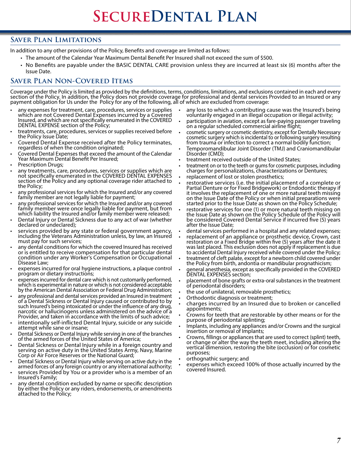### **Saver Plan Limitations**

In addition to any other provisions of the Policy, Benefits and coverage are limited as follows:

- The amount of the Calendar Year Maximum Dental Benefit Per Insured shall not exceed the sum of \$500.
- No Benefits are payable under the BASIC DENTAL CARE provision unless they are incurred at least six (6) months after the Issue Date.

## **Saver Plan Non-Covered Items**

Coverage under the Policy is limited as provided by the definitions, terms, conditions, limitations, and exclusions contained in each and every section of the Policy. In addition, the Policy does not provide coverage for professional and dental services Provided to an Insured or any payment obligation for Us under the Policy for any of the following, all of which are excluded from coverage:

- any expenses for treatment, care, procedures, services or supplies which are not Covered Dental Expenses incurred by a Covered Insured, and which are not specifically enumerated in the COVERED DENTAL EXPENSE section of the Policy;
- treatments, care, procedures, services or supplies received before the Policy Issue Date;
- Covered Dental Expense received after the Policy terminates, regardless of when the condition originated;
- Covered Dental Expenses that exceed the amount of the Calendar Year Maximum Dental Benefit Per Insured;
- Prescription Drugs:
- any treatments, care, procedures, services or supplies which are not specifically enumerated in the COVERED DENTAL EXPENSES section of the Policy and any optional coverage rider attached to the Policy;
- any professional services for which the Insured and/or any covered family member are not legally liable for payment;
- any professional services for which the Insured and/or any covered family member were once legally liable for payment, but from which liability the Insured and/or family member were released;
- Dental Injury or Dental Sickness due to any act of war (whether declared or undeclared);
- services provided by any state or federal government agency, including the Veterans Administration unless, by law, an Insured must pay for such services;
- any dental conditions for which the covered Insured has received or is entitled to receive compensation for that particular dental condition under any Worker's Compensation or Occupational Disease Law;
- expenses incurred for oral hygiene instructions, a plaque control program or dietary instructions;
- expenses incurred for dental care which is not customarily performed, which is experimental in nature or which is not considered acceptable by the American Dental Association or Federal Drug Administration;
- any professional and dental services provided an Insured in treatment of a Dental Sickness or Dental Injury caused or contributed to by such Insured's being intoxicated or under the influence of any drug, narcotic or hallucinogens unless administered on the advice of a Provider, and taken in accordance with the limits of such advice;
- intentionally self-inflicted Dental Injury, suicide or any suicide attempt while sane or insane;
- Dental Sickness or Dental Injury while serving in one of the branches of the armed forces of the United States of America;
- Dental Sickness or Dental Injury while in a foreign country and serving on active duty in the United States Army, Navy, Marine Corp or Air Force Reserves or the National Guard;
- Dental Sickness or Dental Injury while serving on active duty in the armed forces of any foreign country or any international authority;
- services Provided by You or a provider who is a member of an Insured's Family;
- any dental condition excluded by name or specific description by either the Policy or any riders, endorsements, or amendments attached to the Policy;
- any loss to which a contributing cause was the Insured's being voluntarily engaged in an illegal occupation or illegal activity;
- participation in aviation, except as fare-paying passenger traveling on a regular scheduled commercial airline flight;
- cosmetic surgery or cosmetic dentistry, except for Dentally Necessary cosmetic surgery which is incidental to or following surgery resulting from trauma or infection to correct a normal bodily function;
- Temporomandibular Joint Disorder (TMJ) and Craniomandibular Disorder (CMD);
- treatment received outside of the United States;
- treatment on or to the teeth or gums for cosmetic purposes, including charges for personalizations, characterizations or Dentures;
- replacement of lost or stolen prosthetics;
- restorative services (i.e. the initial placement of a complete or Partial Denture or for Fixed Bridgework) or Endodontic therapy if it involves the replacement of one or more natural teeth missing on the Issue Date of the Policy or when initial preparations were started prior to the Issue Date as shown on the Policy Schedule;
- restorative services for one (1) or more natural teeth missing on the Issue Date as shown on the Policy Schedule of the Policy will be considered Covered Dental Service if incurred five (5) years after the Issue Date;
- dental services performed in a hospital and any related expenses;
- replacement of an appliance or prosthetic device, Crown, cast restoration or a Fixed Bridge within five (5) years after the date it was last placed. This exclusion does not apply if replacement is due to accidental Dental Injury received while covered under the Policy;
- treatment of cleft palate, except for a newborn child covered under the Policy from birth, andontia or mandibular prognathicism;
- general anesthesia, except as specifically provided in the COVERED DENTAL EXPENSES section;
- placement of bone grafts or extra-oral substances in the treatment of periodontal disorders;
- the use of unilateral, removable prosthetics;
- Orthodontic diagnosis or treatment;
- charges incurred by an Insured due to broken or cancelled appointments;
- Crowns for teeth that are restorable by other means or for the purpose of periodontal splinting;
- Implants, including any appliances and/or Crowns and the surgical insertion or removal of Implants;
- Crowns, fillings or appliances that are used to correct (splint) teeth, or change or alter the way the teeth meet, including altering the vertical dimension, restoring the bite (occlusion) or for cosmetic purposes;
- orthognathic surgery; and
- expenses which exceed 100% of those actually incurred by the covered Insured.